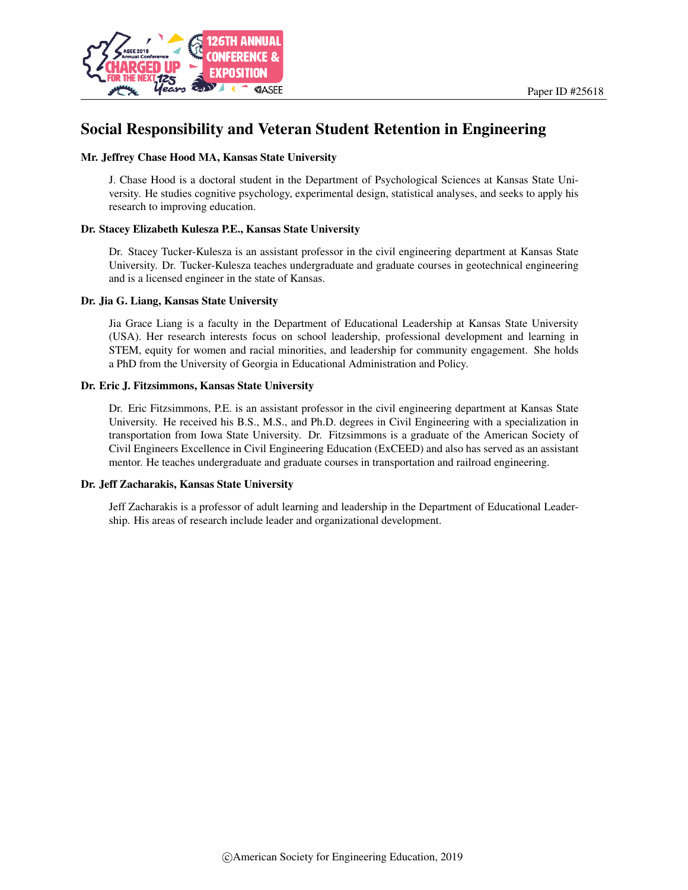

# Social Responsibility and Veteran Student Retention in Engineering

#### Mr. Jeffrey Chase Hood MA, Kansas State University

J. Chase Hood is a doctoral student in the Department of Psychological Sciences at Kansas State University. He studies cognitive psychology, experimental design, statistical analyses, and seeks to apply his research to improving education.

#### Dr. Stacey Elizabeth Kulesza P.E., Kansas State University

Dr. Stacey Tucker-Kulesza is an assistant professor in the civil engineering department at Kansas State University. Dr. Tucker-Kulesza teaches undergraduate and graduate courses in geotechnical engineering and is a licensed engineer in the state of Kansas.

#### Dr. Jia G. Liang, Kansas State University

Jia Grace Liang is a faculty in the Department of Educational Leadership at Kansas State University (USA). Her research interests focus on school leadership, professional development and learning in STEM, equity for women and racial minorities, and leadership for community engagement. She holds a PhD from the University of Georgia in Educational Administration and Policy.

#### Dr. Eric J. Fitzsimmons, Kansas State University

Dr. Eric Fitzsimmons, P.E. is an assistant professor in the civil engineering department at Kansas State University. He received his B.S., M.S., and Ph.D. degrees in Civil Engineering with a specialization in transportation from Iowa State University. Dr. Fitzsimmons is a graduate of the American Society of Civil Engineers Excellence in Civil Engineering Education (ExCEED) and also has served as an assistant mentor. He teaches undergraduate and graduate courses in transportation and railroad engineering.

#### Dr. Jeff Zacharakis, Kansas State University

Jeff Zacharakis is a professor of adult learning and leadership in the Department of Educational Leadership. His areas of research include leader and organizational development.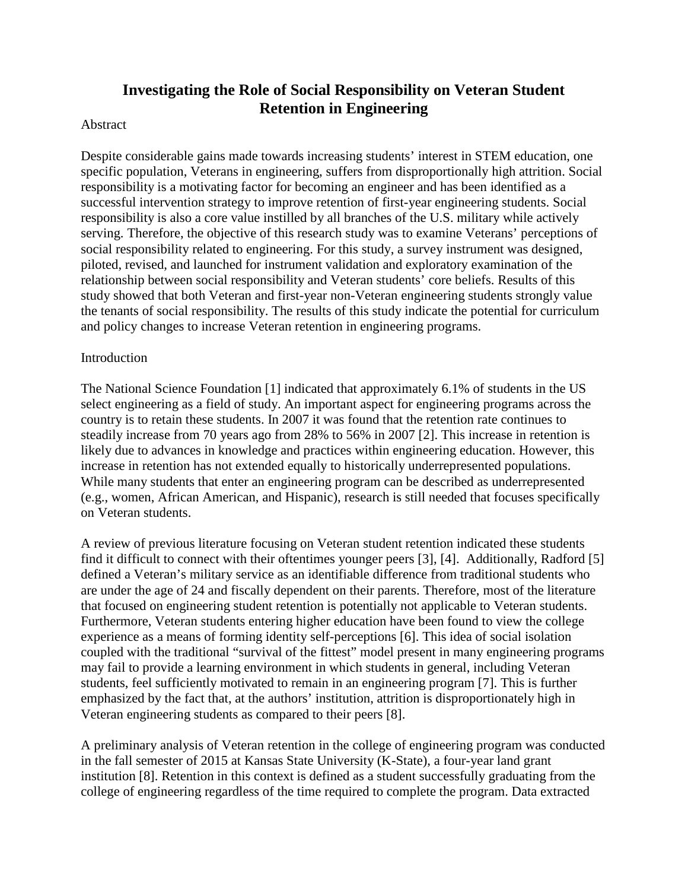# **Investigating the Role of Social Responsibility on Veteran Student Retention in Engineering**

### Abstract

Despite considerable gains made towards increasing students' interest in STEM education, one specific population, Veterans in engineering, suffers from disproportionally high attrition. Social responsibility is a motivating factor for becoming an engineer and has been identified as a successful intervention strategy to improve retention of first-year engineering students. Social responsibility is also a core value instilled by all branches of the U.S. military while actively serving. Therefore, the objective of this research study was to examine Veterans' perceptions of social responsibility related to engineering. For this study, a survey instrument was designed, piloted, revised, and launched for instrument validation and exploratory examination of the relationship between social responsibility and Veteran students' core beliefs. Results of this study showed that both Veteran and first-year non-Veteran engineering students strongly value the tenants of social responsibility. The results of this study indicate the potential for curriculum and policy changes to increase Veteran retention in engineering programs.

### **Introduction**

The National Science Foundation [1] indicated that approximately 6.1% of students in the US select engineering as a field of study. An important aspect for engineering programs across the country is to retain these students. In 2007 it was found that the retention rate continues to steadily increase from 70 years ago from 28% to 56% in 2007 [2]. This increase in retention is likely due to advances in knowledge and practices within engineering education. However, this increase in retention has not extended equally to historically underrepresented populations. While many students that enter an engineering program can be described as underrepresented (e.g., women, African American, and Hispanic), research is still needed that focuses specifically on Veteran students.

A review of previous literature focusing on Veteran student retention indicated these students find it difficult to connect with their oftentimes younger peers [3], [4]. Additionally, Radford [5] defined a Veteran's military service as an identifiable difference from traditional students who are under the age of 24 and fiscally dependent on their parents. Therefore, most of the literature that focused on engineering student retention is potentially not applicable to Veteran students. Furthermore, Veteran students entering higher education have been found to view the college experience as a means of forming identity self-perceptions [6]. This idea of social isolation coupled with the traditional "survival of the fittest" model present in many engineering programs may fail to provide a learning environment in which students in general, including Veteran students, feel sufficiently motivated to remain in an engineering program [7]. This is further emphasized by the fact that, at the authors' institution, attrition is disproportionately high in Veteran engineering students as compared to their peers [8].

A preliminary analysis of Veteran retention in the college of engineering program was conducted in the fall semester of 2015 at Kansas State University (K-State), a four-year land grant institution [8]. Retention in this context is defined as a student successfully graduating from the college of engineering regardless of the time required to complete the program. Data extracted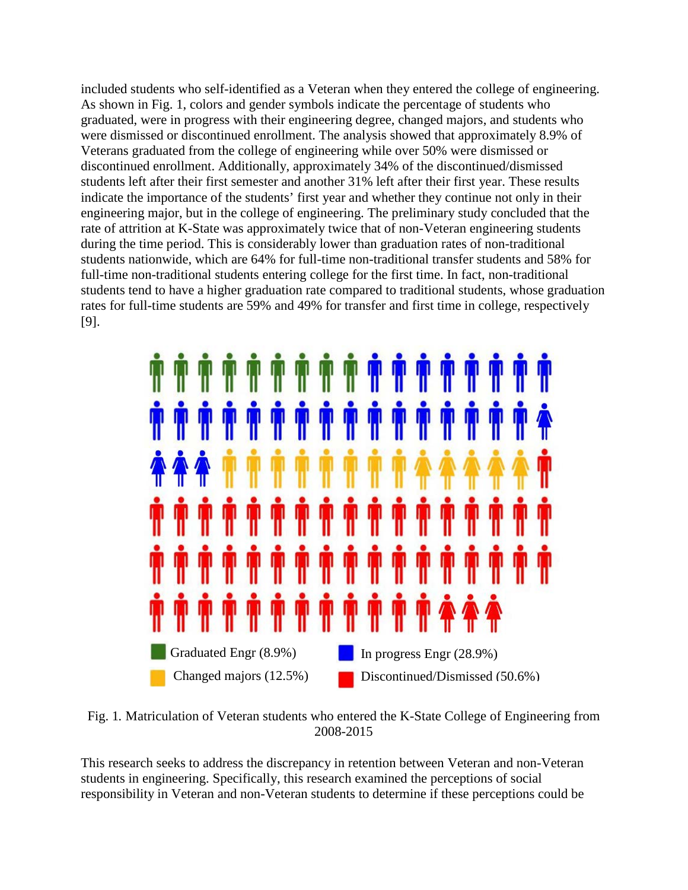included students who self-identified as a Veteran when they entered the college of engineering. As shown in Fig. 1, colors and gender symbols indicate the percentage of students who graduated, were in progress with their engineering degree, changed majors, and students who were dismissed or discontinued enrollment. The analysis showed that approximately 8.9% of Veterans graduated from the college of engineering while over 50% were dismissed or discontinued enrollment. Additionally, approximately 34% of the discontinued/dismissed students left after their first semester and another 31% left after their first year. These results indicate the importance of the students' first year and whether they continue not only in their engineering major, but in the college of engineering. The preliminary study concluded that the rate of attrition at K-State was approximately twice that of non-Veteran engineering students during the time period. This is considerably lower than graduation rates of non-traditional students nationwide, which are 64% for full-time non-traditional transfer students and 58% for full-time non-traditional students entering college for the first time. In fact, non-traditional students tend to have a higher graduation rate compared to traditional students, whose graduation rates for full-time students are 59% and 49% for transfer and first time in college, respectively [9].



Fig. 1*.* Matriculation of Veteran students who entered the K-State College of Engineering from 2008-2015

This research seeks to address the discrepancy in retention between Veteran and non-Veteran students in engineering. Specifically, this research examined the perceptions of social responsibility in Veteran and non-Veteran students to determine if these perceptions could be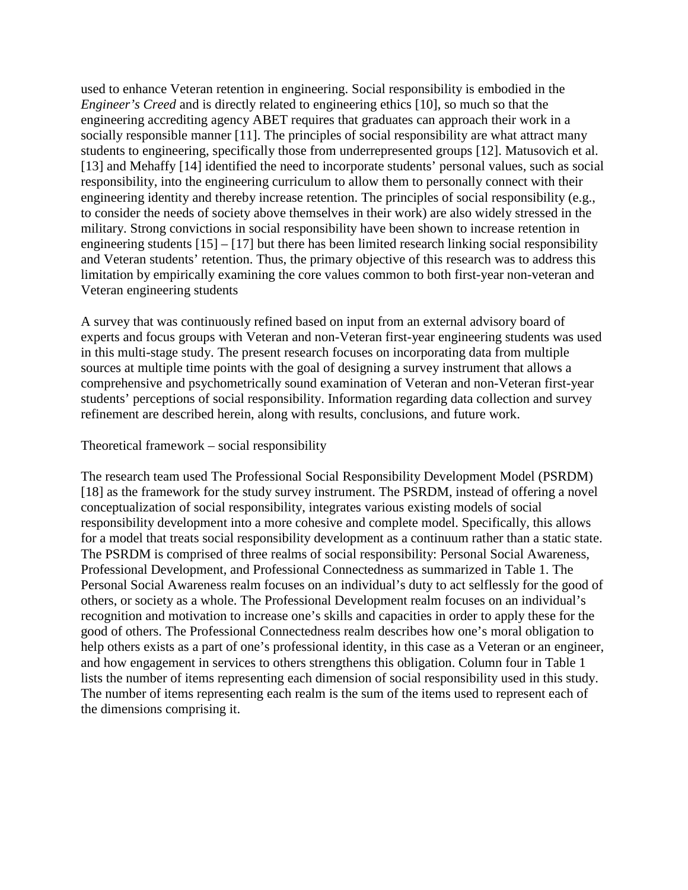used to enhance Veteran retention in engineering. Social responsibility is embodied in the *Engineer's Creed* and is directly related to engineering ethics [10], so much so that the engineering accrediting agency ABET requires that graduates can approach their work in a socially responsible manner [11]. The principles of social responsibility are what attract many students to engineering, specifically those from underrepresented groups [12]. Matusovich et al. [13] and Mehaffy [14] identified the need to incorporate students' personal values, such as social responsibility, into the engineering curriculum to allow them to personally connect with their engineering identity and thereby increase retention. The principles of social responsibility (e.g., to consider the needs of society above themselves in their work) are also widely stressed in the military. Strong convictions in social responsibility have been shown to increase retention in engineering students  $[15] - [17]$  but there has been limited research linking social responsibility and Veteran students' retention. Thus, the primary objective of this research was to address this limitation by empirically examining the core values common to both first-year non-veteran and Veteran engineering students

A survey that was continuously refined based on input from an external advisory board of experts and focus groups with Veteran and non-Veteran first-year engineering students was used in this multi-stage study. The present research focuses on incorporating data from multiple sources at multiple time points with the goal of designing a survey instrument that allows a comprehensive and psychometrically sound examination of Veteran and non-Veteran first-year students' perceptions of social responsibility. Information regarding data collection and survey refinement are described herein, along with results, conclusions, and future work.

### Theoretical framework – social responsibility

The research team used The Professional Social Responsibility Development Model (PSRDM) [18] as the framework for the study survey instrument. The PSRDM, instead of offering a novel conceptualization of social responsibility, integrates various existing models of social responsibility development into a more cohesive and complete model. Specifically, this allows for a model that treats social responsibility development as a continuum rather than a static state. The PSRDM is comprised of three realms of social responsibility: Personal Social Awareness, Professional Development, and Professional Connectedness as summarized in Table 1. The Personal Social Awareness realm focuses on an individual's duty to act selflessly for the good of others, or society as a whole. The Professional Development realm focuses on an individual's recognition and motivation to increase one's skills and capacities in order to apply these for the good of others. The Professional Connectedness realm describes how one's moral obligation to help others exists as a part of one's professional identity, in this case as a Veteran or an engineer, and how engagement in services to others strengthens this obligation. Column four in Table 1 lists the number of items representing each dimension of social responsibility used in this study. The number of items representing each realm is the sum of the items used to represent each of the dimensions comprising it.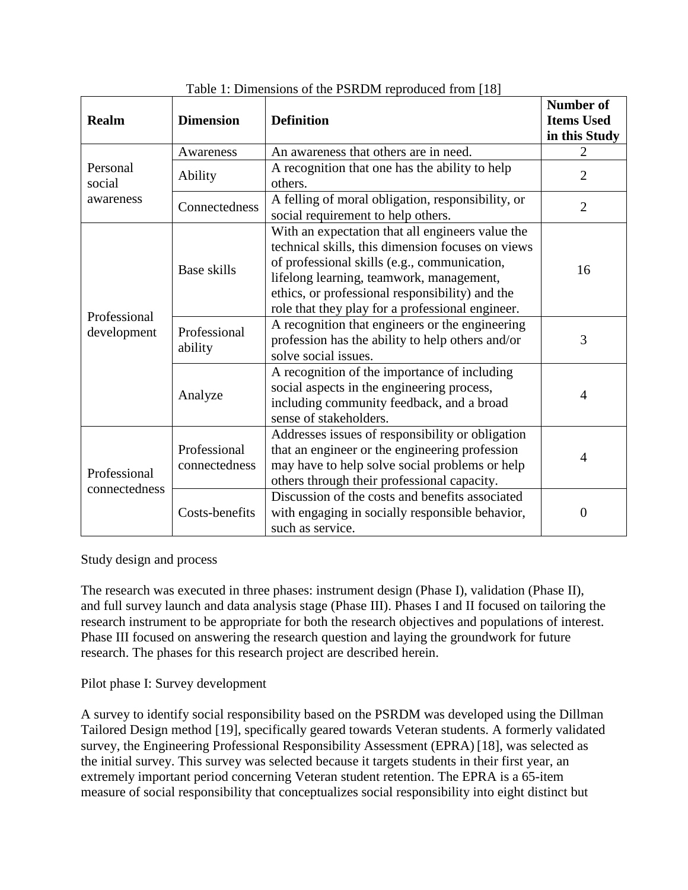| <b>Realm</b>                  | <b>Dimension</b><br><b>Definition</b> |                                                                                                                                                                                                                                                                                                          | <b>Number of</b><br><b>Items Used</b><br>in this Study |
|-------------------------------|---------------------------------------|----------------------------------------------------------------------------------------------------------------------------------------------------------------------------------------------------------------------------------------------------------------------------------------------------------|--------------------------------------------------------|
|                               | Awareness                             | An awareness that others are in need.                                                                                                                                                                                                                                                                    | $\overline{2}$                                         |
| Personal<br>social            | Ability                               | A recognition that one has the ability to help<br>others.                                                                                                                                                                                                                                                | $\overline{2}$                                         |
| awareness                     | Connectedness                         | A felling of moral obligation, responsibility, or<br>social requirement to help others.                                                                                                                                                                                                                  | $\overline{2}$                                         |
|                               | <b>Base skills</b>                    | With an expectation that all engineers value the<br>technical skills, this dimension focuses on views<br>of professional skills (e.g., communication,<br>lifelong learning, teamwork, management,<br>ethics, or professional responsibility) and the<br>role that they play for a professional engineer. | 16                                                     |
| Professional<br>development   | Professional<br>ability               | A recognition that engineers or the engineering<br>profession has the ability to help others and/or<br>solve social issues.                                                                                                                                                                              | 3                                                      |
|                               | Analyze                               | A recognition of the importance of including<br>social aspects in the engineering process,<br>including community feedback, and a broad<br>sense of stakeholders.                                                                                                                                        | 4                                                      |
| Professional<br>connectedness | Professional<br>connectedness         | Addresses issues of responsibility or obligation<br>that an engineer or the engineering profession<br>may have to help solve social problems or help<br>others through their professional capacity.                                                                                                      | 4                                                      |
|                               | Costs-benefits                        | Discussion of the costs and benefits associated<br>with engaging in socially responsible behavior,<br>such as service.                                                                                                                                                                                   | $\theta$                                               |

| Table 1: Dimensions of the PSRDM reproduced from [18] |  |  |  |
|-------------------------------------------------------|--|--|--|
|-------------------------------------------------------|--|--|--|

# Study design and process

The research was executed in three phases: instrument design (Phase I), validation (Phase II), and full survey launch and data analysis stage (Phase III). Phases I and II focused on tailoring the research instrument to be appropriate for both the research objectives and populations of interest. Phase III focused on answering the research question and laying the groundwork for future research. The phases for this research project are described herein.

Pilot phase I: Survey development

A survey to identify social responsibility based on the PSRDM was developed using the Dillman Tailored Design method [19], specifically geared towards Veteran students. A formerly validated survey, the Engineering Professional Responsibility Assessment (EPRA) [18], was selected as the initial survey. This survey was selected because it targets students in their first year, an extremely important period concerning Veteran student retention. The EPRA is a 65-item measure of social responsibility that conceptualizes social responsibility into eight distinct but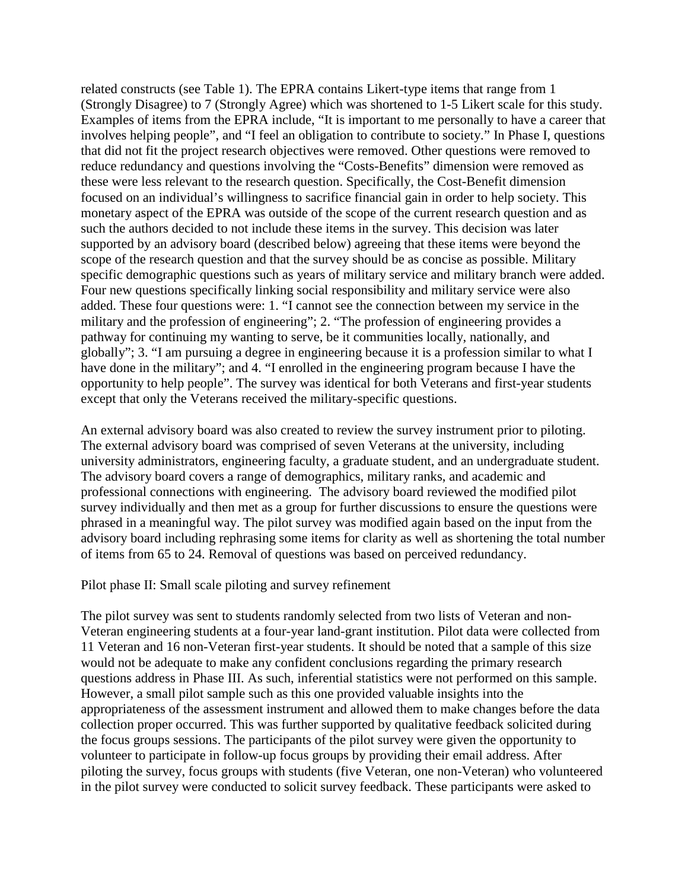related constructs (see Table 1). The EPRA contains Likert-type items that range from 1 (Strongly Disagree) to 7 (Strongly Agree) which was shortened to 1-5 Likert scale for this study. Examples of items from the EPRA include, "It is important to me personally to have a career that involves helping people", and "I feel an obligation to contribute to society." In Phase I, questions that did not fit the project research objectives were removed. Other questions were removed to reduce redundancy and questions involving the "Costs-Benefits" dimension were removed as these were less relevant to the research question. Specifically, the Cost-Benefit dimension focused on an individual's willingness to sacrifice financial gain in order to help society. This monetary aspect of the EPRA was outside of the scope of the current research question and as such the authors decided to not include these items in the survey. This decision was later supported by an advisory board (described below) agreeing that these items were beyond the scope of the research question and that the survey should be as concise as possible. Military specific demographic questions such as years of military service and military branch were added. Four new questions specifically linking social responsibility and military service were also added. These four questions were: 1. "I cannot see the connection between my service in the military and the profession of engineering"; 2. "The profession of engineering provides a pathway for continuing my wanting to serve, be it communities locally, nationally, and globally"; 3. "I am pursuing a degree in engineering because it is a profession similar to what I have done in the military"; and 4. "I enrolled in the engineering program because I have the opportunity to help people". The survey was identical for both Veterans and first-year students except that only the Veterans received the military-specific questions.

An external advisory board was also created to review the survey instrument prior to piloting. The external advisory board was comprised of seven Veterans at the university, including university administrators, engineering faculty, a graduate student, and an undergraduate student. The advisory board covers a range of demographics, military ranks, and academic and professional connections with engineering. The advisory board reviewed the modified pilot survey individually and then met as a group for further discussions to ensure the questions were phrased in a meaningful way. The pilot survey was modified again based on the input from the advisory board including rephrasing some items for clarity as well as shortening the total number of items from 65 to 24. Removal of questions was based on perceived redundancy.

Pilot phase II: Small scale piloting and survey refinement

The pilot survey was sent to students randomly selected from two lists of Veteran and non-Veteran engineering students at a four-year land-grant institution. Pilot data were collected from 11 Veteran and 16 non-Veteran first-year students. It should be noted that a sample of this size would not be adequate to make any confident conclusions regarding the primary research questions address in Phase III. As such, inferential statistics were not performed on this sample. However, a small pilot sample such as this one provided valuable insights into the appropriateness of the assessment instrument and allowed them to make changes before the data collection proper occurred. This was further supported by qualitative feedback solicited during the focus groups sessions. The participants of the pilot survey were given the opportunity to volunteer to participate in follow-up focus groups by providing their email address. After piloting the survey, focus groups with students (five Veteran, one non-Veteran) who volunteered in the pilot survey were conducted to solicit survey feedback. These participants were asked to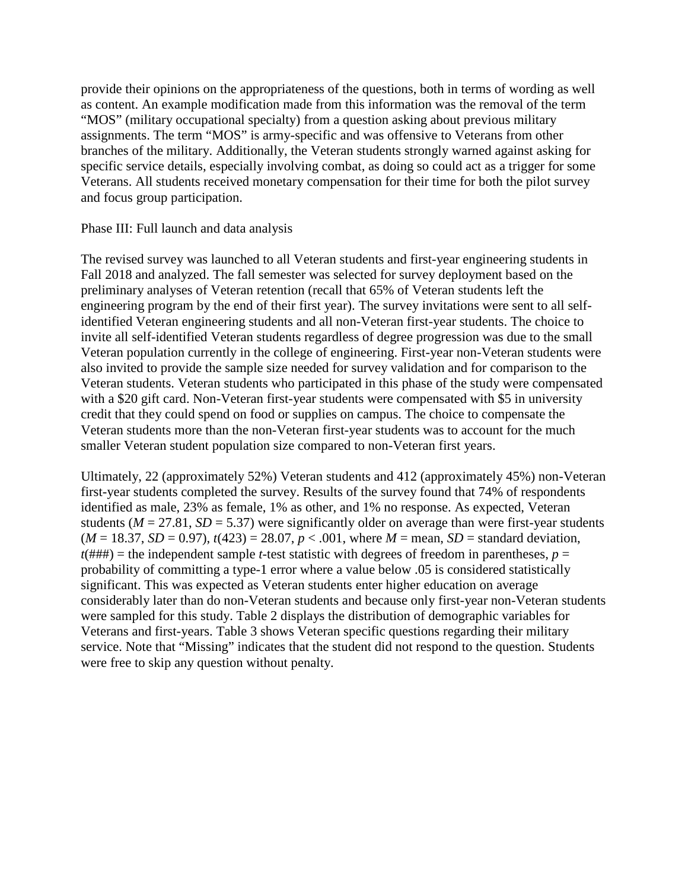provide their opinions on the appropriateness of the questions, both in terms of wording as well as content. An example modification made from this information was the removal of the term "MOS" (military occupational specialty) from a question asking about previous military assignments. The term "MOS" is army-specific and was offensive to Veterans from other branches of the military. Additionally, the Veteran students strongly warned against asking for specific service details, especially involving combat, as doing so could act as a trigger for some Veterans. All students received monetary compensation for their time for both the pilot survey and focus group participation.

### Phase III: Full launch and data analysis

The revised survey was launched to all Veteran students and first-year engineering students in Fall 2018 and analyzed. The fall semester was selected for survey deployment based on the preliminary analyses of Veteran retention (recall that 65% of Veteran students left the engineering program by the end of their first year). The survey invitations were sent to all selfidentified Veteran engineering students and all non-Veteran first-year students. The choice to invite all self-identified Veteran students regardless of degree progression was due to the small Veteran population currently in the college of engineering. First-year non-Veteran students were also invited to provide the sample size needed for survey validation and for comparison to the Veteran students. Veteran students who participated in this phase of the study were compensated with a \$20 gift card. Non-Veteran first-year students were compensated with \$5 in university credit that they could spend on food or supplies on campus. The choice to compensate the Veteran students more than the non-Veteran first-year students was to account for the much smaller Veteran student population size compared to non-Veteran first years.

Ultimately, 22 (approximately 52%) Veteran students and 412 (approximately 45%) non-Veteran first-year students completed the survey. Results of the survey found that 74% of respondents identified as male, 23% as female, 1% as other, and 1% no response. As expected, Veteran students ( $M = 27.81$ ,  $SD = 5.37$ ) were significantly older on average than were first-year students  $(M = 18.37, SD = 0.97)$ ,  $t(423) = 28.07, p < .001$ , where  $M =$  mean,  $SD =$  standard deviation,  $t$ (###) = the independent sample *t*-test statistic with degrees of freedom in parentheses,  $p =$ probability of committing a type-1 error where a value below .05 is considered statistically significant. This was expected as Veteran students enter higher education on average considerably later than do non-Veteran students and because only first-year non-Veteran students were sampled for this study. Table 2 displays the distribution of demographic variables for Veterans and first-years. Table 3 shows Veteran specific questions regarding their military service. Note that "Missing" indicates that the student did not respond to the question. Students were free to skip any question without penalty.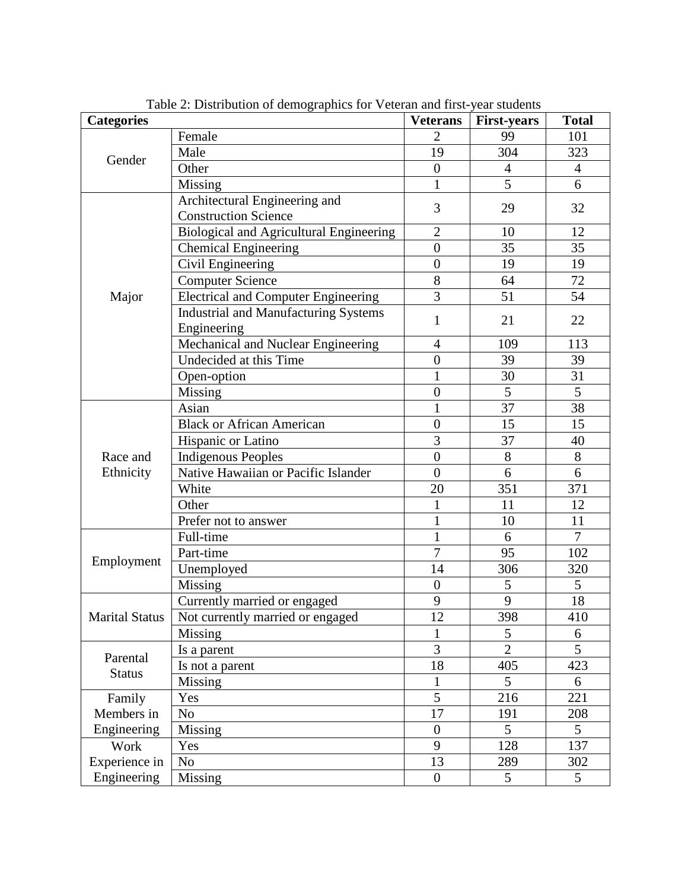| <b>Categories</b>     |                                                              | <b>Veterans</b>  | <b>First-years</b> | <b>Total</b>   |
|-----------------------|--------------------------------------------------------------|------------------|--------------------|----------------|
|                       | Female                                                       | $\overline{2}$   | 99                 | 101            |
|                       | Male                                                         | 19               | 304                | 323            |
| Gender                | Other                                                        | $\overline{0}$   | $\overline{4}$     | $\overline{4}$ |
|                       | Missing                                                      | $\mathbf{1}$     | $\overline{5}$     | 6              |
|                       | Architectural Engineering and<br><b>Construction Science</b> | 3                | 29                 | 32             |
|                       | Biological and Agricultural Engineering                      | $\overline{2}$   | 10                 | 12             |
|                       | <b>Chemical Engineering</b>                                  | $\overline{0}$   | 35                 | 35             |
|                       | Civil Engineering                                            | $\overline{0}$   | 19                 | 19             |
|                       | <b>Computer Science</b>                                      | 8                | 64                 | 72             |
| Major                 | <b>Electrical and Computer Engineering</b>                   | 3                | 51                 | 54             |
|                       | <b>Industrial and Manufacturing Systems</b><br>Engineering   | $\mathbf{1}$     | 21                 | 22             |
|                       | Mechanical and Nuclear Engineering                           | $\overline{4}$   | 109                | 113            |
|                       | Undecided at this Time                                       | $\overline{0}$   | 39                 | 39             |
|                       | Open-option                                                  | $\mathbf{1}$     | 30                 | 31             |
|                       | Missing                                                      | $\overline{0}$   | 5                  | 5              |
|                       | Asian                                                        | $\mathbf{1}$     | 37                 | 38             |
|                       | <b>Black or African American</b>                             | $\overline{0}$   | 15                 | 15             |
|                       | Hispanic or Latino                                           | 3                | 37                 | 40             |
| Race and              | <b>Indigenous Peoples</b>                                    | $\overline{0}$   | 8                  | 8              |
| Ethnicity             | Native Hawaiian or Pacific Islander                          | $\overline{0}$   | 6                  | 6              |
|                       | White                                                        | 20               | 351                | 371            |
|                       | Other                                                        | $\mathbf{1}$     | 11                 | 12             |
|                       | Prefer not to answer                                         | $\mathbf{1}$     | 10                 | 11             |
|                       | Full-time                                                    | $\mathbf{1}$     | 6                  | $\overline{7}$ |
|                       | Part-time                                                    | $\overline{7}$   | 95                 | 102            |
| Employment            | Unemployed                                                   | 14               | 306                | 320            |
|                       | Missing                                                      | $\overline{0}$   | 5                  | 5              |
|                       | Currently married or engaged                                 | 9                | 9                  | 18             |
| <b>Marital Status</b> | Not currently married or engaged                             | 12               | 398                | 410            |
|                       | <b>Missing</b>                                               | 1                | 5                  | 6              |
| Parental              | Is a parent                                                  | 3                | $\overline{2}$     | 5              |
| <b>Status</b>         | Is not a parent                                              | 18               | 405                | 423            |
|                       | Missing                                                      | $\mathbf{1}$     | 5                  | 6              |
| Family                | Yes                                                          | $\overline{5}$   | 216                | 221            |
| Members in            | N <sub>o</sub>                                               | 17               | 191                | 208            |
| Engineering           | Missing                                                      | $\boldsymbol{0}$ | 5                  | 5              |
| Work                  | Yes                                                          | 9                | 128                | 137            |
| Experience in         | N <sub>o</sub>                                               | 13               | 289                | 302            |
| Engineering           | Missing                                                      | $\boldsymbol{0}$ | 5                  | 5              |

Table 2: Distribution of demographics for Veteran and first-year students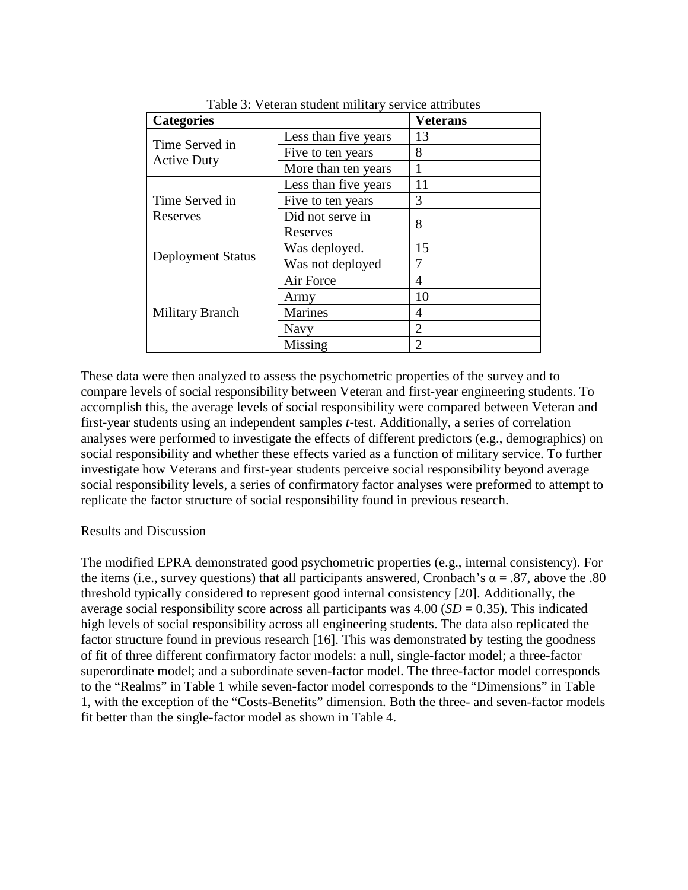| <b>Categories</b>                    |                      | <b>Veterans</b> |
|--------------------------------------|----------------------|-----------------|
|                                      | Less than five years | 13              |
| Time Served in<br><b>Active Duty</b> | Five to ten years    | 8               |
|                                      | More than ten years  |                 |
|                                      | Less than five years | 11              |
| Time Served in                       | Five to ten years    | 3               |
| Reserves                             | Did not serve in     | 8               |
|                                      | Reserves             |                 |
| <b>Deployment Status</b>             | Was deployed.        | 15              |
|                                      | Was not deployed     |                 |
|                                      | Air Force            | 4               |
|                                      | Army                 | 10              |
| <b>Military Branch</b>               | <b>Marines</b>       | 4               |
|                                      | Navy                 | $\overline{2}$  |
|                                      | Missing              | $\overline{2}$  |

Table 3: Veteran student military service attributes

These data were then analyzed to assess the psychometric properties of the survey and to compare levels of social responsibility between Veteran and first-year engineering students. To accomplish this, the average levels of social responsibility were compared between Veteran and first-year students using an independent samples *t*-test. Additionally, a series of correlation analyses were performed to investigate the effects of different predictors (e.g., demographics) on social responsibility and whether these effects varied as a function of military service. To further investigate how Veterans and first-year students perceive social responsibility beyond average social responsibility levels, a series of confirmatory factor analyses were preformed to attempt to replicate the factor structure of social responsibility found in previous research.

### Results and Discussion

The modified EPRA demonstrated good psychometric properties (e.g., internal consistency). For the items (i.e., survey questions) that all participants answered, Cronbach's  $\alpha = .87$ , above the .80 threshold typically considered to represent good internal consistency [20]. Additionally, the average social responsibility score across all participants was  $4.00$  ( $SD = 0.35$ ). This indicated high levels of social responsibility across all engineering students. The data also replicated the factor structure found in previous research [16]. This was demonstrated by testing the goodness of fit of three different confirmatory factor models: a null, single-factor model; a three-factor superordinate model; and a subordinate seven-factor model. The three-factor model corresponds to the "Realms" in Table 1 while seven-factor model corresponds to the "Dimensions" in Table 1, with the exception of the "Costs-Benefits" dimension. Both the three- and seven-factor models fit better than the single-factor model as shown in Table 4.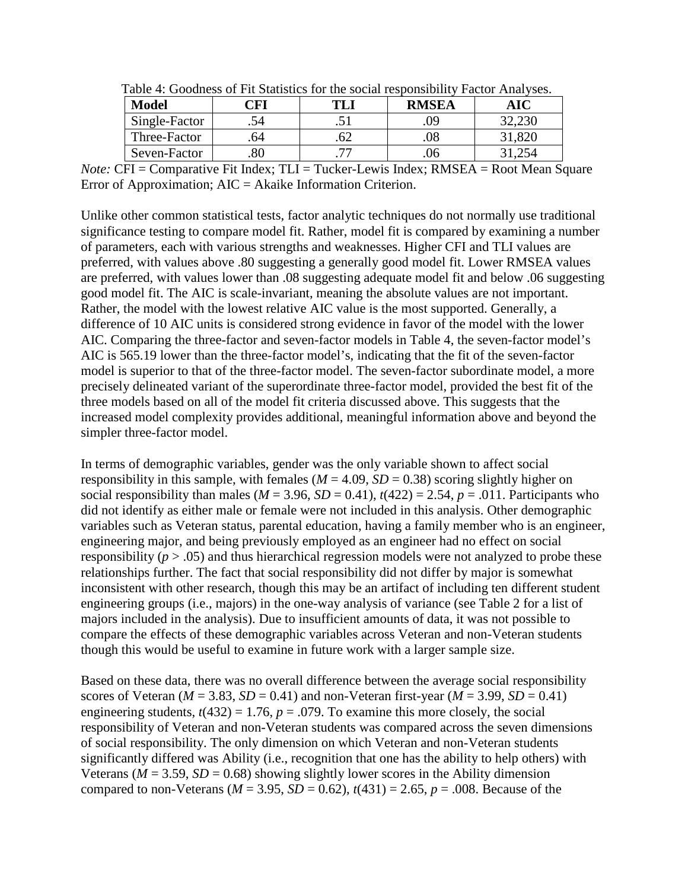| <b>Model</b>  | 'FI | Tavic +. Obodness of I it blansnes for the social responsibility I actor Trial vses.<br><b>RMSEA</b> |  |        |  |
|---------------|-----|------------------------------------------------------------------------------------------------------|--|--------|--|
| Single-Factor |     |                                                                                                      |  |        |  |
| Three-Factor  |     |                                                                                                      |  | 21,820 |  |
| Seven-Factor  |     |                                                                                                      |  |        |  |

Table 4: Goodness of Fit Statistics for the social responsibility Factor Analyses.

*Note:* CFI = Comparative Fit Index; TLI = Tucker-Lewis Index; RMSEA = Root Mean Square Error of Approximation; AIC = Akaike Information Criterion.

Unlike other common statistical tests, factor analytic techniques do not normally use traditional significance testing to compare model fit. Rather, model fit is compared by examining a number of parameters, each with various strengths and weaknesses. Higher CFI and TLI values are preferred, with values above .80 suggesting a generally good model fit. Lower RMSEA values are preferred, with values lower than .08 suggesting adequate model fit and below .06 suggesting good model fit. The AIC is scale-invariant, meaning the absolute values are not important. Rather, the model with the lowest relative AIC value is the most supported. Generally, a difference of 10 AIC units is considered strong evidence in favor of the model with the lower AIC. Comparing the three-factor and seven-factor models in Table 4, the seven-factor model's AIC is 565.19 lower than the three-factor model's, indicating that the fit of the seven-factor model is superior to that of the three-factor model. The seven-factor subordinate model, a more precisely delineated variant of the superordinate three-factor model, provided the best fit of the three models based on all of the model fit criteria discussed above. This suggests that the increased model complexity provides additional, meaningful information above and beyond the simpler three-factor model.

In terms of demographic variables, gender was the only variable shown to affect social responsibility in this sample, with females ( $M = 4.09$ ,  $SD = 0.38$ ) scoring slightly higher on social responsibility than males ( $M = 3.96$ ,  $SD = 0.41$ ),  $t(422) = 2.54$ ,  $p = .011$ . Participants who did not identify as either male or female were not included in this analysis. Other demographic variables such as Veteran status, parental education, having a family member who is an engineer, engineering major, and being previously employed as an engineer had no effect on social responsibility ( $p > .05$ ) and thus hierarchical regression models were not analyzed to probe these relationships further. The fact that social responsibility did not differ by major is somewhat inconsistent with other research, though this may be an artifact of including ten different student engineering groups (i.e., majors) in the one-way analysis of variance (see Table 2 for a list of majors included in the analysis). Due to insufficient amounts of data, it was not possible to compare the effects of these demographic variables across Veteran and non-Veteran students though this would be useful to examine in future work with a larger sample size.

Based on these data, there was no overall difference between the average social responsibility scores of Veteran ( $M = 3.83$ ,  $SD = 0.41$ ) and non-Veteran first-year ( $M = 3.99$ ,  $SD = 0.41$ ) engineering students,  $t(432) = 1.76$ ,  $p = .079$ . To examine this more closely, the social responsibility of Veteran and non-Veteran students was compared across the seven dimensions of social responsibility. The only dimension on which Veteran and non-Veteran students significantly differed was Ability (i.e., recognition that one has the ability to help others) with Veterans ( $M = 3.59$ ,  $SD = 0.68$ ) showing slightly lower scores in the Ability dimension compared to non-Veterans ( $M = 3.95$ ,  $SD = 0.62$ ),  $t(431) = 2.65$ ,  $p = .008$ . Because of the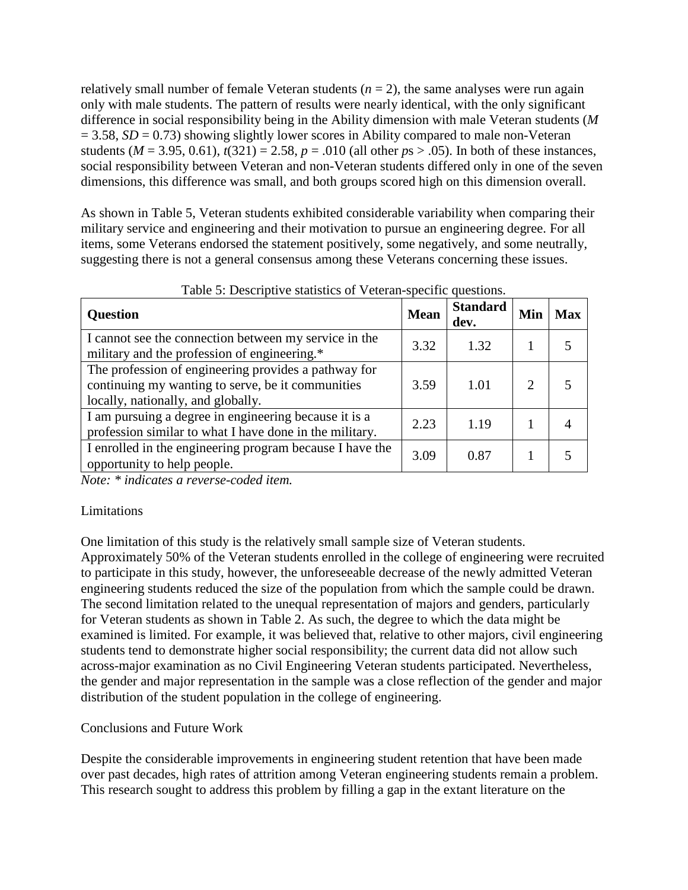relatively small number of female Veteran students  $(n = 2)$ , the same analyses were run again only with male students. The pattern of results were nearly identical, with the only significant difference in social responsibility being in the Ability dimension with male Veteran students (*M*  $= 3.58$ , *SD* = 0.73) showing slightly lower scores in Ability compared to male non-Veteran students ( $M = 3.95, 0.61$ ),  $t(321) = 2.58$ ,  $p = .010$  (all other  $ps > .05$ ). In both of these instances, social responsibility between Veteran and non-Veteran students differed only in one of the seven dimensions, this difference was small, and both groups scored high on this dimension overall.

As shown in Table 5, Veteran students exhibited considerable variability when comparing their military service and engineering and their motivation to pursue an engineering degree. For all items, some Veterans endorsed the statement positively, some negatively, and some neutrally, suggesting there is not a general consensus among these Veterans concerning these issues.

| <b>Question</b>                                                                                                                                 | <b>Mean</b> | <b>Standard</b><br>dev. | Min | <b>Max</b> |
|-------------------------------------------------------------------------------------------------------------------------------------------------|-------------|-------------------------|-----|------------|
| I cannot see the connection between my service in the<br>military and the profession of engineering.*                                           | 3.32        | 1.32                    |     |            |
| The profession of engineering provides a pathway for<br>continuing my wanting to serve, be it communities<br>locally, nationally, and globally. | 3.59        | 1.01                    |     |            |
| I am pursuing a degree in engineering because it is a<br>profession similar to what I have done in the military.                                | 2.23        | 1.19                    |     |            |
| I enrolled in the engineering program because I have the<br>opportunity to help people.                                                         | 3.09        | 0.87                    |     |            |

Table 5: Descriptive statistics of Veteran-specific questions.

*Note: \* indicates a reverse-coded item.*

# Limitations

One limitation of this study is the relatively small sample size of Veteran students. Approximately 50% of the Veteran students enrolled in the college of engineering were recruited to participate in this study, however, the unforeseeable decrease of the newly admitted Veteran engineering students reduced the size of the population from which the sample could be drawn. The second limitation related to the unequal representation of majors and genders, particularly for Veteran students as shown in Table 2. As such, the degree to which the data might be examined is limited. For example, it was believed that, relative to other majors, civil engineering students tend to demonstrate higher social responsibility; the current data did not allow such across-major examination as no Civil Engineering Veteran students participated. Nevertheless, the gender and major representation in the sample was a close reflection of the gender and major distribution of the student population in the college of engineering.

# Conclusions and Future Work

Despite the considerable improvements in engineering student retention that have been made over past decades, high rates of attrition among Veteran engineering students remain a problem. This research sought to address this problem by filling a gap in the extant literature on the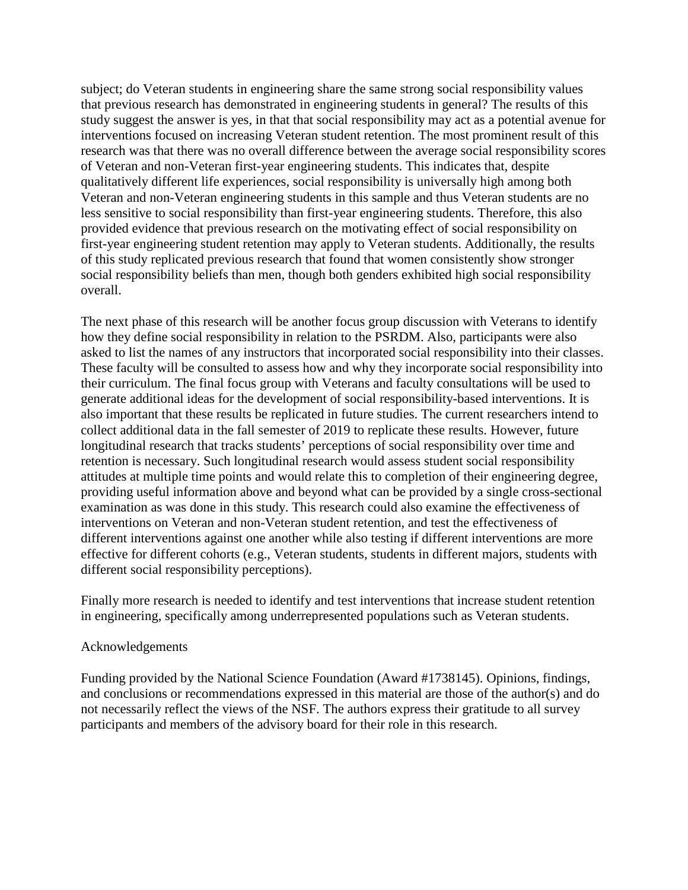subject; do Veteran students in engineering share the same strong social responsibility values that previous research has demonstrated in engineering students in general? The results of this study suggest the answer is yes, in that that social responsibility may act as a potential avenue for interventions focused on increasing Veteran student retention. The most prominent result of this research was that there was no overall difference between the average social responsibility scores of Veteran and non-Veteran first-year engineering students. This indicates that, despite qualitatively different life experiences, social responsibility is universally high among both Veteran and non-Veteran engineering students in this sample and thus Veteran students are no less sensitive to social responsibility than first-year engineering students. Therefore, this also provided evidence that previous research on the motivating effect of social responsibility on first-year engineering student retention may apply to Veteran students. Additionally, the results of this study replicated previous research that found that women consistently show stronger social responsibility beliefs than men, though both genders exhibited high social responsibility overall.

The next phase of this research will be another focus group discussion with Veterans to identify how they define social responsibility in relation to the PSRDM. Also, participants were also asked to list the names of any instructors that incorporated social responsibility into their classes. These faculty will be consulted to assess how and why they incorporate social responsibility into their curriculum. The final focus group with Veterans and faculty consultations will be used to generate additional ideas for the development of social responsibility-based interventions. It is also important that these results be replicated in future studies. The current researchers intend to collect additional data in the fall semester of 2019 to replicate these results. However, future longitudinal research that tracks students' perceptions of social responsibility over time and retention is necessary. Such longitudinal research would assess student social responsibility attitudes at multiple time points and would relate this to completion of their engineering degree, providing useful information above and beyond what can be provided by a single cross-sectional examination as was done in this study. This research could also examine the effectiveness of interventions on Veteran and non-Veteran student retention, and test the effectiveness of different interventions against one another while also testing if different interventions are more effective for different cohorts (e.g., Veteran students, students in different majors, students with different social responsibility perceptions).

Finally more research is needed to identify and test interventions that increase student retention in engineering, specifically among underrepresented populations such as Veteran students.

### Acknowledgements

Funding provided by the National Science Foundation (Award #1738145). Opinions, findings, and conclusions or recommendations expressed in this material are those of the author(s) and do not necessarily reflect the views of the NSF. The authors express their gratitude to all survey participants and members of the advisory board for their role in this research.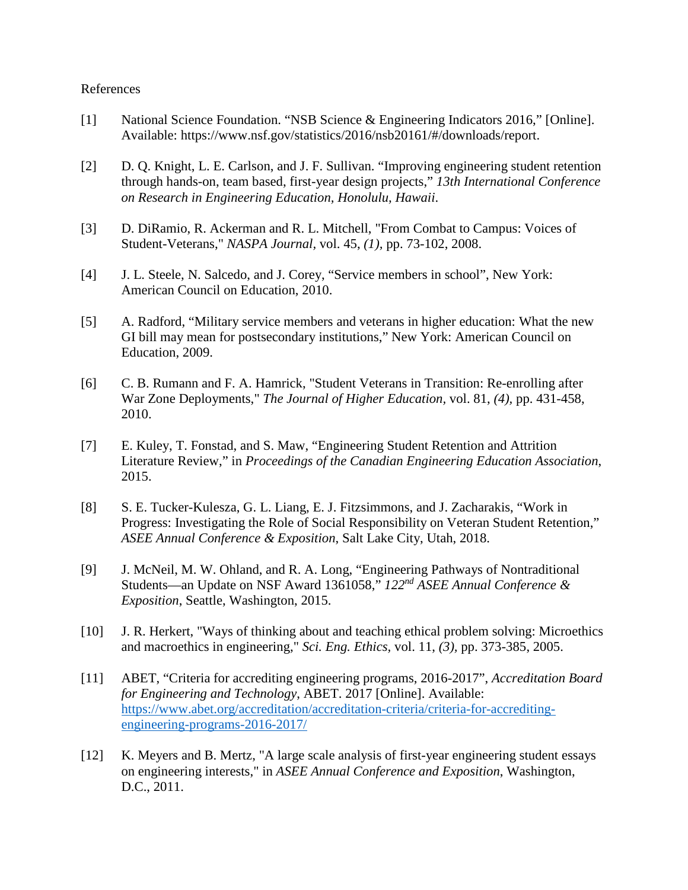#### References

- [1] National Science Foundation. "NSB Science & Engineering Indicators 2016," [Online]. Available: https://www.nsf.gov/statistics/2016/nsb20161/#/downloads/report.
- [2] D. Q. Knight, L. E. Carlson, and J. F. Sullivan. "Improving engineering student retention through hands-on, team based, first-year design projects," *13th International Conference on Research in Engineering Education, Honolulu, Hawaii*.
- [3] D. DiRamio, R. Ackerman and R. L. Mitchell, "From Combat to Campus: Voices of Student-Veterans," *NASPA Journal,* vol. 45, *(1),* pp. 73-102, 2008.
- [4] J. L. Steele, N. Salcedo, and J. Corey, "Service members in school", New York: American Council on Education, 2010.
- [5] A. Radford, "Military service members and veterans in higher education: What the new GI bill may mean for postsecondary institutions," New York: American Council on Education, 2009.
- [6] C. B. Rumann and F. A. Hamrick, "Student Veterans in Transition: Re-enrolling after War Zone Deployments," *The Journal of Higher Education,* vol. 81, *(4),* pp. 431-458, 2010.
- [7] E. Kuley, T. Fonstad, and S. Maw, "Engineering Student Retention and Attrition Literature Review," in *Proceedings of the Canadian Engineering Education Association*, 2015.
- [8] S. E. Tucker-Kulesza, G. L. Liang, E. J. Fitzsimmons, and J. Zacharakis, "Work in Progress: Investigating the Role of Social Responsibility on Veteran Student Retention," *ASEE Annual Conference & Exposition*, Salt Lake City, Utah, 2018.
- [9] J. McNeil, M. W. Ohland, and R. A. Long, "Engineering Pathways of Nontraditional Students—an Update on NSF Award 1361058," *122nd ASEE Annual Conference & Exposition*, Seattle, Washington, 2015.
- [10] J. R. Herkert, "Ways of thinking about and teaching ethical problem solving: Microethics and macroethics in engineering," *Sci. Eng. Ethics,* vol. 11, *(3),* pp. 373-385, 2005.
- [11] ABET, "Criteria for accrediting engineering programs, 2016-2017", *Accreditation Board for Engineering and Technology*, ABET. 2017 [Online]. Available: [https://www.abet.org/accreditation/accreditation-criteria/criteria-for-accrediting](https://www.abet.org/accreditation/accreditation-criteria/criteria-for-accrediting-engineering-programs-2016-2017/)[engineering-programs-2016-2017/](https://www.abet.org/accreditation/accreditation-criteria/criteria-for-accrediting-engineering-programs-2016-2017/)
- [12] K. Meyers and B. Mertz, "A large scale analysis of first-year engineering student essays on engineering interests," in *ASEE Annual Conference and Exposition*, Washington, D.C., 2011.